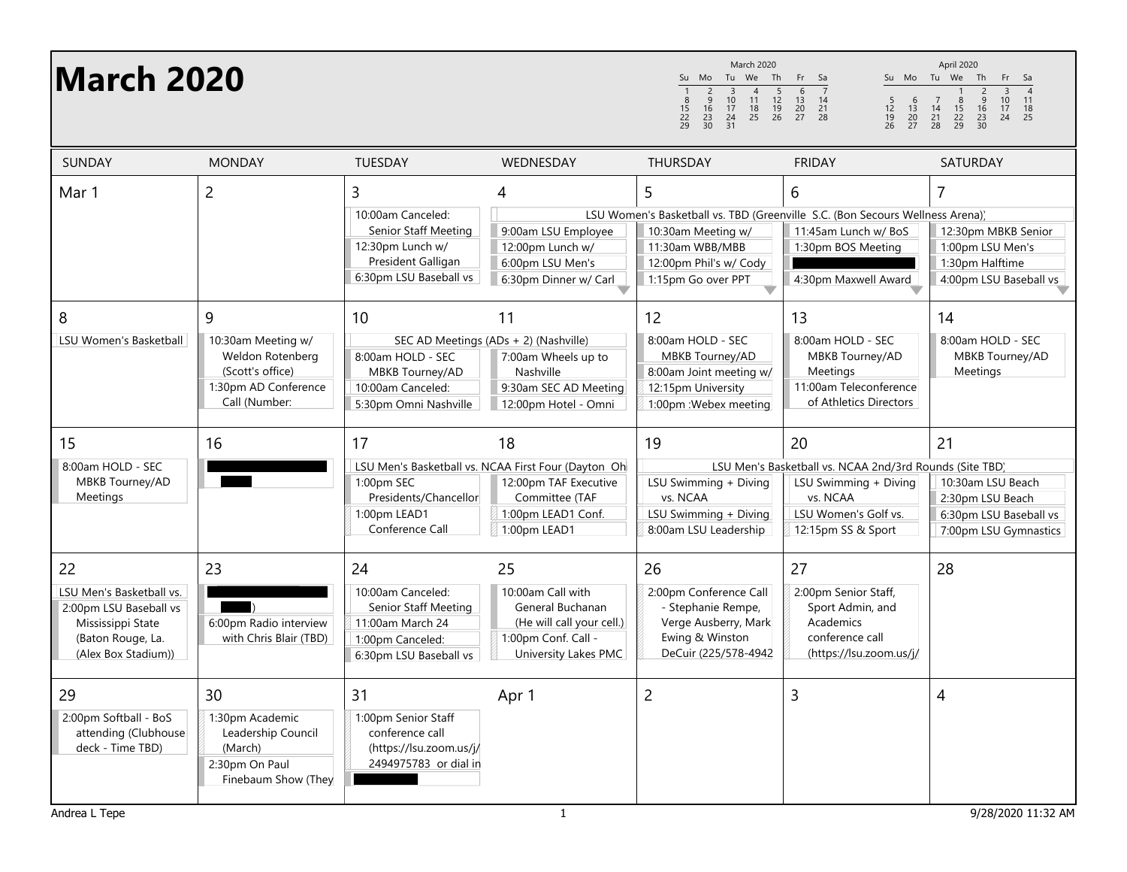| <b>March 2020</b>                                                                                                         |                                                                                                          |                                                                                                                    |                                                                                                                                            | <b>March 2020</b><br>Su Mo Tu We Th<br>$rac{2}{9}$<br>5<br>$\overline{1}$<br>$\overline{3}$<br>$\overline{4}$<br>$\frac{10}{17}$<br>11<br>$\frac{12}{19}$<br>26<br>$\frac{8}{15}$<br>22<br>29<br>16<br>18<br>25<br>$\frac{23}{30}$<br>$\frac{24}{31}$ | Fr Sa<br>$6\overline{6}$<br>$\begin{array}{ccc} 13 & 14 \\ 20 & 21 \\ 27 & 28 \end{array}$<br>$\begin{array}{c} 6 \\ 13 \\ 20 \\ 27 \end{array}$<br>5<br>$\frac{12}{19}$<br>26 | April 2020<br>Su Mo Tu We Th<br>Fr<br>Sa<br>$\frac{2}{9}$<br>$\frac{16}{23}$<br>$\frac{23}{30}$<br>$\overline{4}$<br>$\overline{3}$<br>$\frac{10}{17}$<br>24<br>11<br>$\overline{7}$<br>$\frac{8}{15}$<br>14<br>$\frac{18}{25}$<br>$\frac{21}{28}$<br>$\frac{22}{29}$ |
|---------------------------------------------------------------------------------------------------------------------------|----------------------------------------------------------------------------------------------------------|--------------------------------------------------------------------------------------------------------------------|--------------------------------------------------------------------------------------------------------------------------------------------|-------------------------------------------------------------------------------------------------------------------------------------------------------------------------------------------------------------------------------------------------------|--------------------------------------------------------------------------------------------------------------------------------------------------------------------------------|-----------------------------------------------------------------------------------------------------------------------------------------------------------------------------------------------------------------------------------------------------------------------|
| <b>SUNDAY</b>                                                                                                             | <b>MONDAY</b>                                                                                            | TUESDAY                                                                                                            | WEDNESDAY                                                                                                                                  | THURSDAY                                                                                                                                                                                                                                              | <b>FRIDAY</b>                                                                                                                                                                  | SATURDAY                                                                                                                                                                                                                                                              |
| Mar 1                                                                                                                     | $\overline{c}$                                                                                           | 3<br>10:00am Canceled:<br>Senior Staff Meeting<br>12:30pm Lunch w/<br>President Galligan<br>6:30pm LSU Baseball vs | 4<br>9:00am LSU Employee<br>12:00pm Lunch w/<br>6:00pm LSU Men's<br>6:30pm Dinner w/ Carl                                                  | 5<br>10:30am Meeting w/<br>11:30am WBB/MBB<br>12:00pm Phil's w/ Cody<br>1:15pm Go over PPT                                                                                                                                                            | 6<br>LSU Women's Basketball vs. TBD (Greenville S.C. (Bon Secours Wellness Arena))<br>11:45am Lunch w/ BoS<br>1:30pm BOS Meeting<br>4:30pm Maxwell Award                       | 7<br>12:30pm MBKB Senior<br>1:00pm LSU Men's<br>1:30pm Halftime<br>4:00pm LSU Baseball vs                                                                                                                                                                             |
| 8<br><b>LSU Women's Basketball</b>                                                                                        | 9<br>10:30am Meeting w/<br>Weldon Rotenberg<br>(Scott's office)<br>1:30pm AD Conference<br>Call (Number: | 10<br>8:00am HOLD - SEC<br>MBKB Tourney/AD<br>10:00am Canceled:<br>5:30pm Omni Nashville                           | 11<br>SEC AD Meetings (ADs + 2) (Nashville)<br>7:00am Wheels up to<br>Nashville<br>9:30am SEC AD Meeting<br>12:00pm Hotel - Omni           | 12<br>8:00am HOLD - SEC<br>MBKB Tourney/AD<br>8:00am Joint meeting w/<br>12:15pm University<br>1:00pm : Webex meeting                                                                                                                                 | 13<br>8:00am HOLD - SEC<br>MBKB Tourney/AD<br><b>Meetings</b><br>11:00am Teleconference<br>of Athletics Directors                                                              | 14<br>8:00am HOLD - SEC<br>MBKB Tourney/AD<br>Meetings                                                                                                                                                                                                                |
| 15<br>8:00am HOLD - SEC<br>MBKB Tourney/AD<br>Meetings                                                                    | 16                                                                                                       | 17<br>1:00pm SEC<br>Presidents/Chancellor<br>1:00pm LEAD1<br>Conference Call                                       | 18<br>LSU Men's Basketball vs. NCAA First Four (Dayton Oh<br>12:00pm TAF Executive<br>Committee (TAF<br>1:00pm LEAD1 Conf.<br>1:00pm LEAD1 | 19<br>LSU Swimming + Diving<br>vs. NCAA<br>LSU Swimming + Diving<br>8:00am LSU Leadership                                                                                                                                                             | 20<br>LSU Men's Basketball vs. NCAA 2nd/3rd Rounds (Site TBD)<br>LSU Swimming + Diving<br>vs. NCAA<br>LSU Women's Golf vs.<br>12:15pm SS & Sport                               | 21<br>10:30am LSU Beach<br>2:30pm LSU Beach<br>6:30pm LSU Baseball vs<br>7:00pm LSU Gymnastics                                                                                                                                                                        |
| 22<br>LSU Men's Basketball vs.<br>2:00pm LSU Baseball vs<br>Mississippi State<br>(Baton Rouge, La.<br>(Alex Box Stadium)) | 23<br>6:00pm Radio interview<br>with Chris Blair (TBD)                                                   | 24<br>10:00am Canceled:<br>Senior Staff Meeting<br>11:00am March 24<br>1:00pm Canceled:<br>6:30pm LSU Baseball vs  | 25<br>10:00am Call with<br>General Buchanan<br>(He will call your cell.)<br>1:00pm Conf. Call -<br>University Lakes PMC                    | 26<br>2:00pm Conference Call<br>- Stephanie Rempe,<br>Verge Ausberry, Mark<br>Ewing & Winston<br>DeCuir (225/578-4942)                                                                                                                                | 27<br>2:00pm Senior Staff,<br>Sport Admin, and<br>Academics<br>conference call<br>(https://lsu.zoom.us/j/                                                                      | 28                                                                                                                                                                                                                                                                    |
| 29<br>2:00pm Softball - BoS<br>attending (Clubhouse<br>deck - Time TBD)                                                   | 30<br>1:30pm Academic<br>Leadership Council<br>(March)<br>2:30pm On Paul<br>Finebaum Show (They          | 31<br>1:00pm Senior Staff<br>conference call<br>(https://lsu.zoom.us/j/<br>2494975783 or dial in                   | Apr 1                                                                                                                                      | $\overline{c}$                                                                                                                                                                                                                                        | 3                                                                                                                                                                              | 4                                                                                                                                                                                                                                                                     |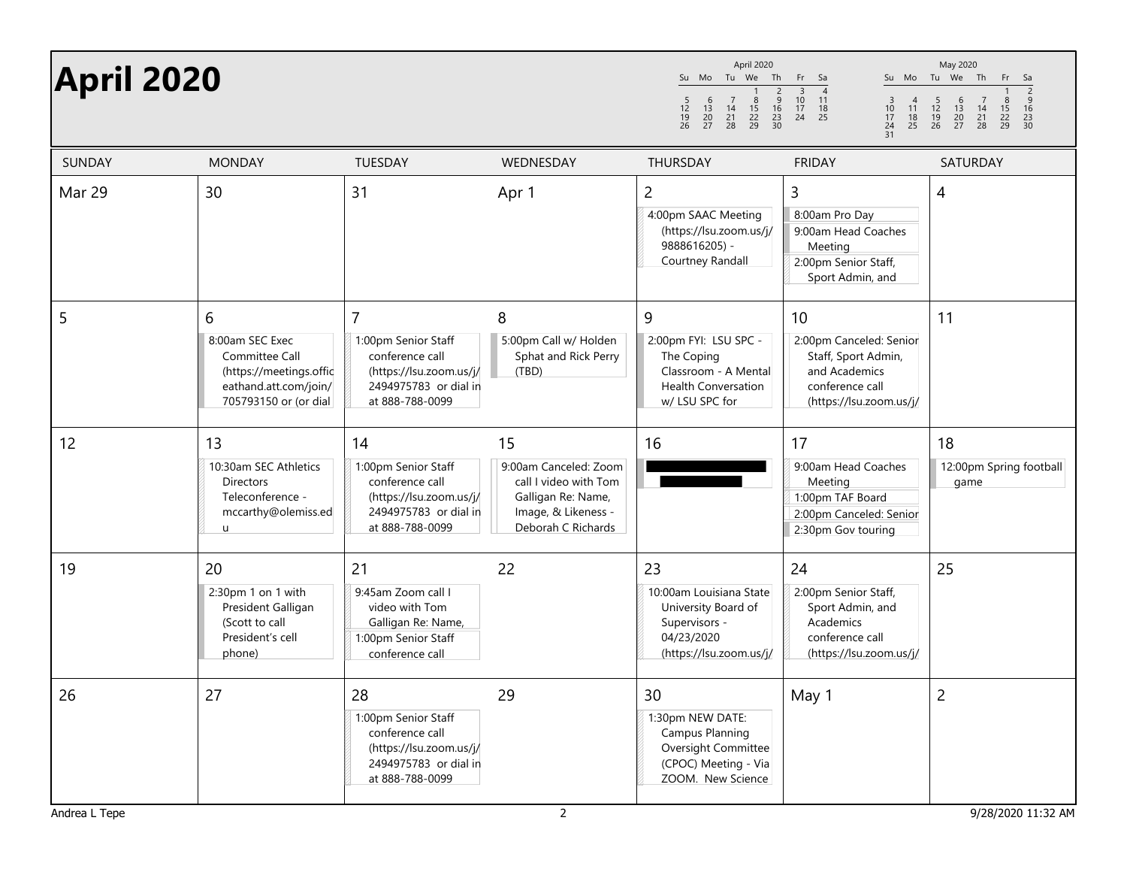| <b>April 2020</b> |                                                                                                                     |                                                                                                                                 |                                                                                                                         | April 2020<br>Su Mo Tu We<br>Th<br>$\begin{array}{c}\n2 \\ 9 \\ 16\n\end{array}$<br>$6\overline{6}$<br>$\overline{7}$<br>8<br>$\frac{5}{12}$<br>$\frac{19}{26}$<br>$\begin{array}{ccc} 13 & 14 \\ 20 & 21 \\ 27 & 28 \end{array}$<br>$\frac{15}{22}$<br>22<br>29<br>$\frac{23}{30}$ | Fr<br>Sa<br>$\begin{array}{c}\n 3 \\  10 \\  17\n \end{array}$<br>$\overline{4}$<br>11<br>$\frac{3}{10}$<br>$\frac{17}{24}$<br>$\frac{4}{11}$<br>$\frac{18}{25}$<br>$\frac{18}{25}$<br>24<br>31 | May 2020<br>Su Mo Tu We Th<br>Fr<br>Sa<br>$\frac{2}{9}$<br>$\frac{16}{23}$<br>$\frac{23}{30}$<br>$\begin{array}{ccc} & 5 & 6 \\ 12 & 13 \\ 19 & 20 \\ 26 & 27 \end{array}$<br>$\overline{7}$<br>$\frac{8}{15}$<br>$\frac{22}{29}$<br>$\frac{14}{21}$<br>28 |
|-------------------|---------------------------------------------------------------------------------------------------------------------|---------------------------------------------------------------------------------------------------------------------------------|-------------------------------------------------------------------------------------------------------------------------|-------------------------------------------------------------------------------------------------------------------------------------------------------------------------------------------------------------------------------------------------------------------------------------|-------------------------------------------------------------------------------------------------------------------------------------------------------------------------------------------------|------------------------------------------------------------------------------------------------------------------------------------------------------------------------------------------------------------------------------------------------------------|
| <b>SUNDAY</b>     | <b>MONDAY</b>                                                                                                       | <b>TUESDAY</b>                                                                                                                  | WEDNESDAY                                                                                                               | THURSDAY                                                                                                                                                                                                                                                                            | <b>FRIDAY</b>                                                                                                                                                                                   | SATURDAY                                                                                                                                                                                                                                                   |
| Mar 29            | 30                                                                                                                  | 31                                                                                                                              | Apr 1                                                                                                                   | 2<br>4:00pm SAAC Meeting<br>(https://lsu.zoom.us/j/<br>9888616205) -<br>Courtney Randall                                                                                                                                                                                            | 3<br>8:00am Pro Day<br>9:00am Head Coaches<br>Meeting<br>2:00pm Senior Staff,<br>Sport Admin, and                                                                                               | 4                                                                                                                                                                                                                                                          |
| 5                 | 6<br>8:00am SEC Exec<br>Committee Call<br>(https://meetings.offic<br>eathand.att.com/join/<br>705793150 or (or dial | $\overline{7}$<br>1:00pm Senior Staff<br>conference call<br>(https://lsu.zoom.us/j/<br>2494975783 or dial in<br>at 888-788-0099 | 8<br>5:00pm Call w/ Holden<br>Sphat and Rick Perry<br>(TBD)                                                             | 9<br>2:00pm FYI: LSU SPC -<br>The Coping<br>Classroom - A Mental<br><b>Health Conversation</b><br>w/ LSU SPC for                                                                                                                                                                    | 10<br>2:00pm Canceled: Senior<br>Staff, Sport Admin,<br>and Academics<br>conference call<br>(https://lsu.zoom.us/j/                                                                             | 11                                                                                                                                                                                                                                                         |
| 12                | 13<br>10:30am SEC Athletics<br><b>Directors</b><br>Teleconference -<br>mccarthy@olemiss.ed<br>u                     | 14<br>1:00pm Senior Staff<br>conference call<br>(https://lsu.zoom.us/j/<br>2494975783 or dial in<br>at 888-788-0099             | 15<br>9:00am Canceled: Zoom<br>call I video with Tom<br>Galligan Re: Name,<br>Image, & Likeness -<br>Deborah C Richards | 16                                                                                                                                                                                                                                                                                  | 17<br>9:00am Head Coaches<br>Meeting<br>1:00pm TAF Board<br>2:00pm Canceled: Senior<br>2:30pm Gov touring                                                                                       | 18<br>12:00pm Spring football<br>game                                                                                                                                                                                                                      |
| 19                | 20<br>2:30pm 1 on 1 with<br>President Galligan<br>(Scott to call<br>President's cell<br>phone)                      | 21<br>9:45am Zoom call I<br>video with Tom<br>Galligan Re: Name,<br>1:00pm Senior Staff<br>conference call                      | 22                                                                                                                      | 23<br>10:00am Louisiana State<br>University Board of<br>Supervisors -<br>04/23/2020<br>(https://lsu.zoom.us/j/                                                                                                                                                                      | 24<br>2:00pm Senior Staff,<br>Sport Admin, and<br>Academics<br>conference call<br>(https://lsu.zoom.us/j/                                                                                       | 25                                                                                                                                                                                                                                                         |
| 26                | 27                                                                                                                  | 28<br>1:00pm Senior Staff<br>conference call<br>(https://lsu.zoom.us/j/<br>2494975783 or dial in<br>at 888-788-0099             | 29                                                                                                                      | 30<br>1:30pm NEW DATE:<br><b>Campus Planning</b><br>Oversight Committee<br>(CPOC) Meeting - Via<br>ZOOM. New Science                                                                                                                                                                | May 1                                                                                                                                                                                           | $\overline{c}$                                                                                                                                                                                                                                             |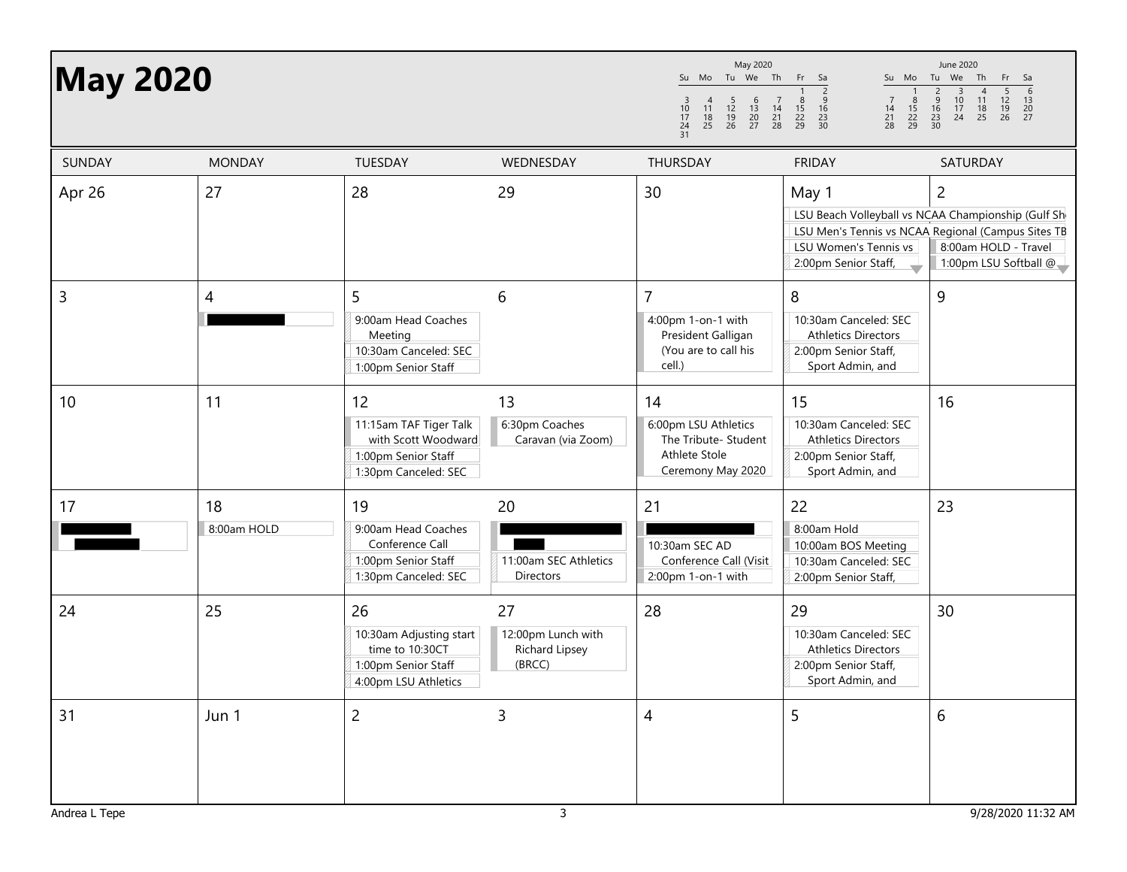| <b>May 2020</b> |                   |                                                                                                    |                                                             | May 2020<br>Su Mo Tu We Th Fr<br>$\begin{array}{c} 4 \\ 11 \\ 18 \\ 25 \end{array}$<br>$\begin{array}{ccc} & 5 & 6 \\ 12 & 13 \\ 19 & 20 \\ 26 & 27 \end{array}$<br>$\frac{3}{10}$<br>$\frac{17}{24}$<br>$\frac{24}{31}$ | Su Mo<br>- Sa<br>$\frac{9}{16}$<br>$\frac{7}{14}$<br>$\frac{8}{15}$<br>22<br>29<br>$\frac{8}{15}$<br>$\begin{array}{c} 7 \\ 14 \\ 21 \\ 28 \end{array}$<br>$\frac{22}{29}$<br>$\frac{23}{30}$<br>$^{21}_{28}$ | June 2020<br>Tu We Th<br>Fr.<br>Sa<br>$\begin{array}{cccc} 3 & 4 & 5 & 6 \\ 10 & 11 & 12 & 13 \\ 17 & 18 & 19 & 20 \\ 24 & 25 & 26 & 27 \end{array}$<br>$\begin{array}{c}\n2 \\ 9 \\ 16\n\end{array}$<br>$\frac{23}{30}$ |
|-----------------|-------------------|----------------------------------------------------------------------------------------------------|-------------------------------------------------------------|--------------------------------------------------------------------------------------------------------------------------------------------------------------------------------------------------------------------------|---------------------------------------------------------------------------------------------------------------------------------------------------------------------------------------------------------------|--------------------------------------------------------------------------------------------------------------------------------------------------------------------------------------------------------------------------|
| SUNDAY          | <b>MONDAY</b>     | TUESDAY                                                                                            | WEDNESDAY                                                   | THURSDAY                                                                                                                                                                                                                 | <b>FRIDAY</b>                                                                                                                                                                                                 | SATURDAY                                                                                                                                                                                                                 |
| Apr 26          | 27                | 28                                                                                                 | 29                                                          | 30                                                                                                                                                                                                                       | May 1<br>LSU Women's Tennis vs<br>2:00pm Senior Staff,                                                                                                                                                        | $\overline{c}$<br>LSU Beach Volleyball vs NCAA Championship (Gulf Sh<br>LSU Men's Tennis vs NCAA Regional (Campus Sites TB<br>8:00am HOLD - Travel<br>1:00pm LSU Softball @                                              |
| $\mathsf{3}$    | 4                 | 5<br>9:00am Head Coaches<br>Meeting<br>10:30am Canceled: SEC<br>1:00pm Senior Staff                | 6                                                           | $\overline{7}$<br>4:00pm 1-on-1 with<br>President Galligan<br>(You are to call his<br>cell.)                                                                                                                             | 8<br>10:30am Canceled: SEC<br><b>Athletics Directors</b><br>2:00pm Senior Staff,<br>Sport Admin, and                                                                                                          | 9                                                                                                                                                                                                                        |
| 10              | 11                | 12<br>11:15am TAF Tiger Talk<br>with Scott Woodward<br>1:00pm Senior Staff<br>1:30pm Canceled: SEC | 13<br>6:30pm Coaches<br>Caravan (via Zoom)                  | 14<br>6:00pm LSU Athletics<br>The Tribute- Student<br>Athlete Stole<br>Ceremony May 2020                                                                                                                                 | 15<br>10:30am Canceled: SEC<br><b>Athletics Directors</b><br>2:00pm Senior Staff,<br>Sport Admin, and                                                                                                         | 16                                                                                                                                                                                                                       |
| 17              | 18<br>8:00am HOLD | 19<br>9:00am Head Coaches<br>Conference Call<br>1:00pm Senior Staff<br>1:30pm Canceled: SEC        | 20<br>11:00am SEC Athletics<br><b>Directors</b>             | 21<br>10:30am SEC AD<br>Conference Call (Visit<br>2:00pm 1-on-1 with                                                                                                                                                     | 22<br>8:00am Hold<br>10:00am BOS Meeting<br>10:30am Canceled: SEC<br>2:00pm Senior Staff,                                                                                                                     | 23                                                                                                                                                                                                                       |
| 24              | 25                | 26<br>10:30am Adjusting start<br>time to 10:30CT<br>1:00pm Senior Staff<br>4:00pm LSU Athletics    | 27<br>12:00pm Lunch with<br><b>Richard Lipsey</b><br>(BRCC) | 28                                                                                                                                                                                                                       | 29<br>10:30am Canceled: SEC<br><b>Athletics Directors</b><br>2:00pm Senior Staff,<br>Sport Admin, and                                                                                                         | 30                                                                                                                                                                                                                       |
| 31              | Jun 1             | $\overline{c}$                                                                                     | $\overline{3}$                                              | 4                                                                                                                                                                                                                        | 5                                                                                                                                                                                                             | 6                                                                                                                                                                                                                        |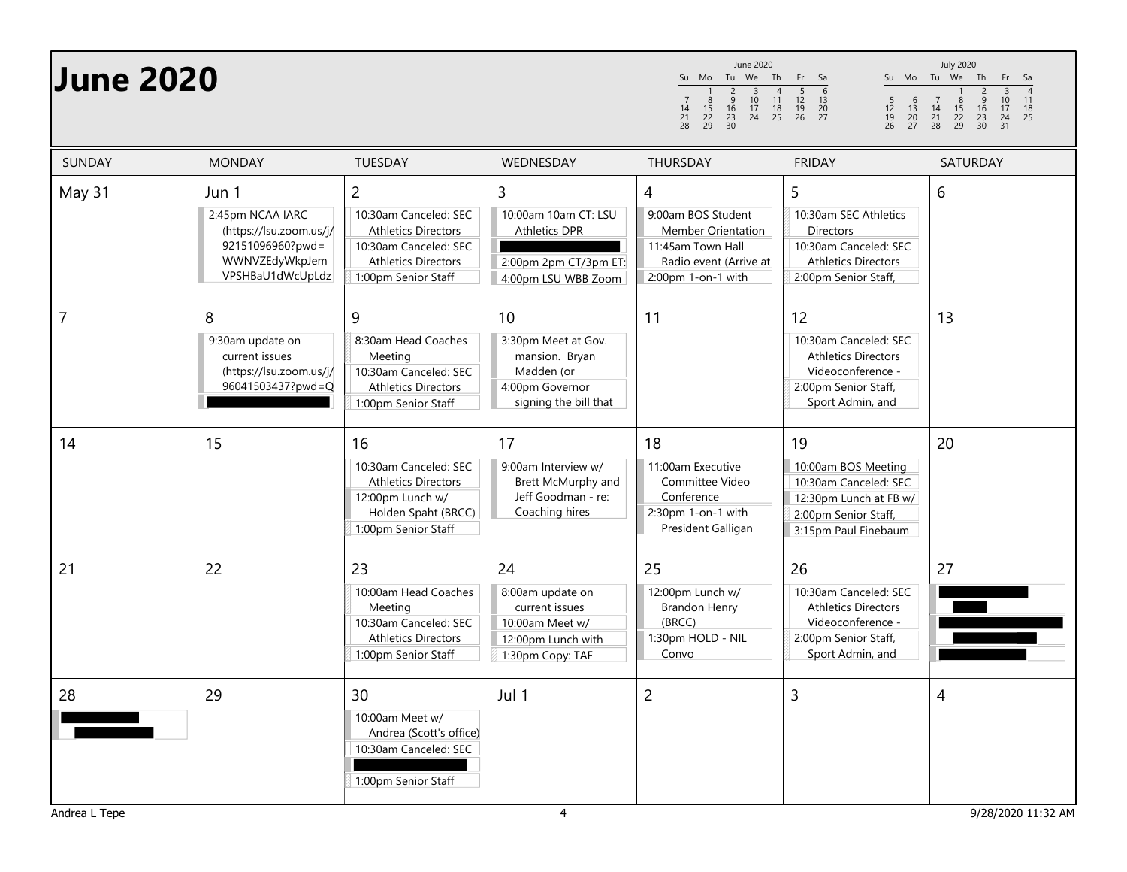| <b>June 2020</b> |                                                                                                                |                                                                                                                                                     |                                                                                                       | June 2020<br>Tu We<br>Th<br>Su Mo<br>$\begin{array}{c}\n4 \\ 11 \\ 18\n\end{array}$<br>$\begin{array}{c}\n2 \\ 9 \\ 16\n\end{array}$<br>$\overline{3}$<br>$\frac{10}{17}$<br>$\frac{7}{14}$<br>$\frac{21}{28}$<br>$\frac{8}{15}$<br>$\frac{22}{29}$<br>$\frac{23}{30}$<br>24<br>25 | Su Mo Tu We<br>Fr.<br>Sa<br>$\begin{array}{c}\n5 \\ 12 \\ 19\n\end{array}$<br>6<br>$\frac{5}{12}$<br>$\frac{19}{26}$<br>$\begin{array}{c} 6 \\ 13 \\ 20 \\ 27 \end{array}$<br>$\frac{13}{20}$<br>26<br>27 | <b>July 2020</b><br>Th<br>Fr<br>Sa<br>$\frac{4}{11}$<br>$\begin{array}{c}\n3 \\ 10 \\ 17\n\end{array}$<br>$\begin{array}{c} 2 \\ 9 \\ 16 \end{array}$<br>$\begin{array}{c} 7 \\ 14 \\ 21 \end{array}$<br>$\frac{8}{15}$<br>22<br>29<br>18<br>$\frac{23}{30}$<br>24<br>25<br>28<br>31 |
|------------------|----------------------------------------------------------------------------------------------------------------|-----------------------------------------------------------------------------------------------------------------------------------------------------|-------------------------------------------------------------------------------------------------------|------------------------------------------------------------------------------------------------------------------------------------------------------------------------------------------------------------------------------------------------------------------------------------|-----------------------------------------------------------------------------------------------------------------------------------------------------------------------------------------------------------|--------------------------------------------------------------------------------------------------------------------------------------------------------------------------------------------------------------------------------------------------------------------------------------|
| <b>SUNDAY</b>    | <b>MONDAY</b>                                                                                                  | TUESDAY                                                                                                                                             | WEDNESDAY                                                                                             | <b>THURSDAY</b>                                                                                                                                                                                                                                                                    | <b>FRIDAY</b>                                                                                                                                                                                             | SATURDAY                                                                                                                                                                                                                                                                             |
| May 31           | Jun 1<br>2:45pm NCAA IARC<br>(https://lsu.zoom.us/j/<br>92151096960?pwd=<br>WWNVZEdyWkpJem<br>VPSHBaU1dWcUpLdz | $\overline{2}$<br>10:30am Canceled: SEC<br><b>Athletics Directors</b><br>10:30am Canceled: SEC<br><b>Athletics Directors</b><br>1:00pm Senior Staff | 3<br>10:00am 10am CT: LSU<br><b>Athletics DPR</b><br>2:00pm 2pm CT/3pm ET:<br>4:00pm LSU WBB Zoom     | 4<br>9:00am BOS Student<br>Member Orientation<br>11:45am Town Hall<br>Radio event (Arrive at<br>2:00pm 1-on-1 with                                                                                                                                                                 | 5<br>10:30am SEC Athletics<br><b>Directors</b><br>10:30am Canceled: SEC<br><b>Athletics Directors</b><br>2:00pm Senior Staff,                                                                             | 6                                                                                                                                                                                                                                                                                    |
| 7                | 8<br>9:30am update on<br>current issues<br>(https://lsu.zoom.us/j/<br>96041503437?pwd=Q                        | 9<br>8:30am Head Coaches<br>Meeting<br>10:30am Canceled: SEC<br><b>Athletics Directors</b><br>1:00pm Senior Staff                                   | 10<br>3:30pm Meet at Gov.<br>mansion. Bryan<br>Madden (or<br>4:00pm Governor<br>signing the bill that | 11                                                                                                                                                                                                                                                                                 | 12<br>10:30am Canceled: SEC<br><b>Athletics Directors</b><br>Videoconference -<br>2:00pm Senior Staff,<br>Sport Admin, and                                                                                | 13                                                                                                                                                                                                                                                                                   |
| 14               | 15                                                                                                             | 16<br>10:30am Canceled: SEC<br><b>Athletics Directors</b><br>12:00pm Lunch w/<br>Holden Spaht (BRCC)<br>1:00pm Senior Staff                         | 17<br>9:00am Interview w/<br>Brett McMurphy and<br>Jeff Goodman - re:<br>Coaching hires               | 18<br>11:00am Executive<br>Committee Video<br>Conference<br>2:30pm 1-on-1 with<br>President Galligan                                                                                                                                                                               | 19<br>10:00am BOS Meeting<br>10:30am Canceled: SEC<br>12:30pm Lunch at FB w/<br>2:00pm Senior Staff,<br>3:15pm Paul Finebaum                                                                              | 20                                                                                                                                                                                                                                                                                   |
| 21               | 22                                                                                                             | 23<br>10:00am Head Coaches<br>Meeting<br>10:30am Canceled: SEC<br><b>Athletics Directors</b><br>1:00pm Senior Staff                                 | 24<br>8:00am update on<br>current issues<br>10:00am Meet w/<br>12:00pm Lunch with<br>1:30pm Copy: TAF | 25<br>12:00pm Lunch w/<br>Brandon Henry<br>(BRCC)<br>1:30pm HOLD - NIL<br>Convo                                                                                                                                                                                                    | 26<br>10:30am Canceled: SEC<br><b>Athletics Directors</b><br>Videoconference -<br>2:00pm Senior Staff,<br>Sport Admin, and                                                                                | 27                                                                                                                                                                                                                                                                                   |
| 28               | 29                                                                                                             | 30<br>10:00am Meet w/<br>Andrea (Scott's office)<br>10:30am Canceled: SEC<br>1:00pm Senior Staff                                                    | Jul 1                                                                                                 | $\overline{2}$                                                                                                                                                                                                                                                                     | 3                                                                                                                                                                                                         | $\overline{4}$                                                                                                                                                                                                                                                                       |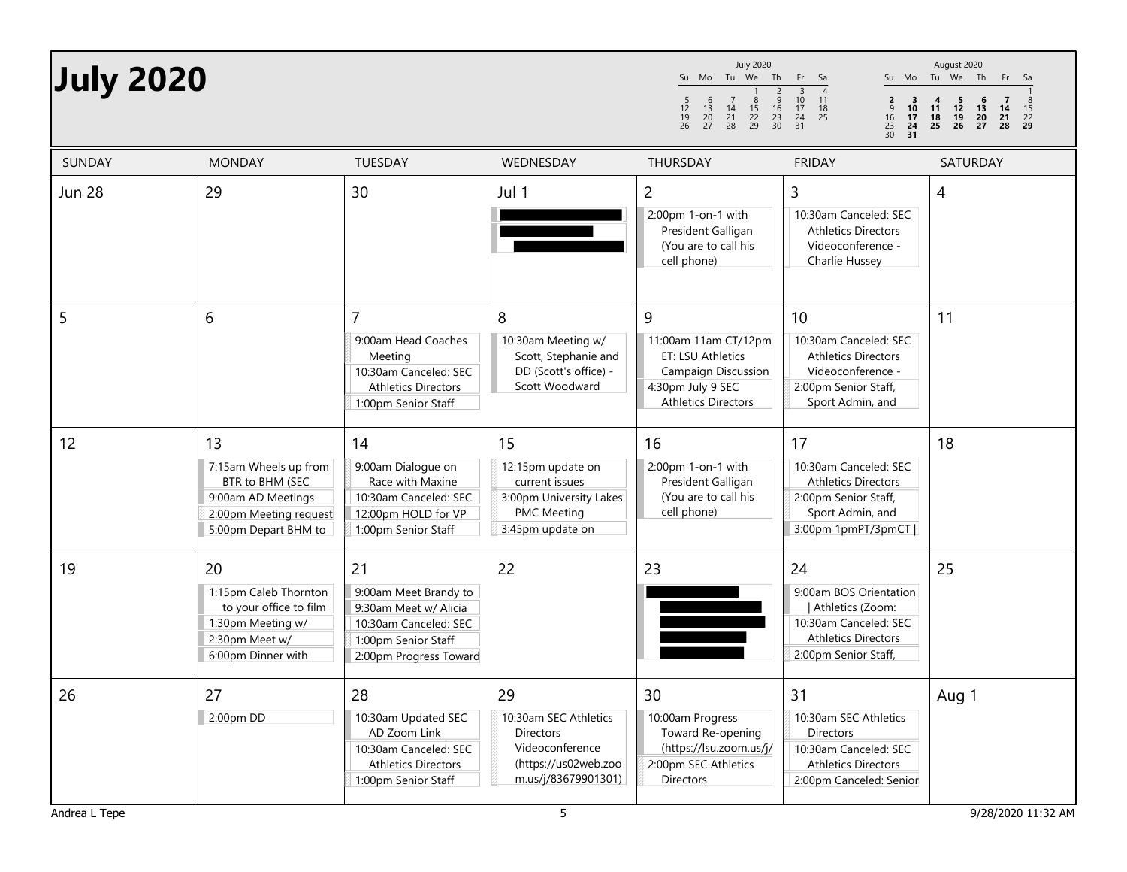| <b>July 2020</b> |                                                                                                                        |                                                                                                                                |                                                                                                                   | <b>July 2020</b><br>Su Mo Tu We Th<br>$\frac{2}{9}$<br>$\frac{9}{23}$<br>$\frac{23}{30}$<br>$\begin{array}{c} 6 \\ 13 \\ 20 \\ 27 \end{array}$<br>$\frac{5}{12}$<br>$\frac{19}{26}$<br>$\begin{array}{ccc} 7 & 8 \\ 14 & 15 \\ 21 & 22 \\ 28 & 29 \end{array}$ | Fr Sa<br>$\frac{10}{17}$<br>$\frac{24}{31}$<br>11<br>$\frac{2}{9}$<br>$\begin{array}{c} 3 \\ 10 \\ 17 \end{array}$<br>18<br>16<br>25<br>$\frac{23}{30}$ <b>24</b> | August 2020<br>Su Mo Tu We Th Fr Sa<br>$\begin{array}{c} 6 \\ 13 \\ 20 \\ 27 \end{array}$<br>$\begin{array}{c} 4 \\ 11 \\ 18 \end{array}$<br>$\begin{array}{c} 5 \\ 12 \\ 19 \end{array}$<br>$\begin{array}{c} 7 \\ 14 \\ 21 \\ 28 \end{array}$<br>$\frac{15}{22}$<br>25<br>- 26 |
|------------------|------------------------------------------------------------------------------------------------------------------------|--------------------------------------------------------------------------------------------------------------------------------|-------------------------------------------------------------------------------------------------------------------|----------------------------------------------------------------------------------------------------------------------------------------------------------------------------------------------------------------------------------------------------------------|-------------------------------------------------------------------------------------------------------------------------------------------------------------------|----------------------------------------------------------------------------------------------------------------------------------------------------------------------------------------------------------------------------------------------------------------------------------|
| <b>SUNDAY</b>    | <b>MONDAY</b>                                                                                                          | TUESDAY                                                                                                                        | WEDNESDAY                                                                                                         | <b>THURSDAY</b>                                                                                                                                                                                                                                                | <b>FRIDAY</b>                                                                                                                                                     | SATURDAY                                                                                                                                                                                                                                                                         |
| <b>Jun 28</b>    | 29                                                                                                                     | 30                                                                                                                             | Jul 1                                                                                                             | $\overline{2}$<br>2:00pm 1-on-1 with<br>President Galligan<br>(You are to call his<br>cell phone)                                                                                                                                                              | $\mathsf{3}$<br>10:30am Canceled: SEC<br><b>Athletics Directors</b><br>Videoconference -<br>Charlie Hussey                                                        | 4                                                                                                                                                                                                                                                                                |
| 5                | 6                                                                                                                      | 7<br>9:00am Head Coaches<br>Meeting<br>10:30am Canceled: SEC<br><b>Athletics Directors</b><br>1:00pm Senior Staff              | 8<br>10:30am Meeting w/<br>Scott, Stephanie and<br>DD (Scott's office) -<br>Scott Woodward                        | 9<br>11:00am 11am CT/12pm<br>ET: LSU Athletics<br><b>Campaign Discussion</b><br>4:30pm July 9 SEC<br><b>Athletics Directors</b>                                                                                                                                | 10<br>10:30am Canceled: SEC<br><b>Athletics Directors</b><br>Videoconference -<br>2:00pm Senior Staff,<br>Sport Admin, and                                        | 11                                                                                                                                                                                                                                                                               |
| 12               | 13<br>7:15am Wheels up from<br>BTR to BHM (SEC<br>9:00am AD Meetings<br>2:00pm Meeting request<br>5:00pm Depart BHM to | 14<br>9:00am Dialogue on<br>Race with Maxine<br>10:30am Canceled: SEC<br>12:00pm HOLD for VP<br>1:00pm Senior Staff            | 15<br>12:15pm update on<br>current issues<br>3:00pm University Lakes<br><b>PMC Meeting</b><br>3:45pm update on    | 16<br>2:00pm 1-on-1 with<br>President Galligan<br>(You are to call his<br>cell phone)                                                                                                                                                                          | 17<br>10:30am Canceled: SEC<br><b>Athletics Directors</b><br>2:00pm Senior Staff,<br>Sport Admin, and<br>3:00pm 1pmPT/3pmCT                                       | 18                                                                                                                                                                                                                                                                               |
| 19               | 20<br>1:15pm Caleb Thornton<br>to your office to film<br>1:30pm Meeting w/<br>2:30pm Meet w/<br>6:00pm Dinner with     | 21<br>9:00am Meet Brandy to<br>9:30am Meet w/ Alicia<br>10:30am Canceled: SEC<br>1:00pm Senior Staff<br>2:00pm Progress Toward | 22                                                                                                                | 23                                                                                                                                                                                                                                                             | 24<br>9:00am BOS Orientation<br>Athletics (Zoom:<br>10:30am Canceled: SEC<br><b>Athletics Directors</b><br>2:00pm Senior Staff,                                   | 25                                                                                                                                                                                                                                                                               |
| 26               | 27<br>2:00pm DD                                                                                                        | 28<br>10:30am Updated SEC<br>AD Zoom Link<br>10:30am Canceled: SEC<br><b>Athletics Directors</b><br>1:00pm Senior Staff        | 29<br>10:30am SEC Athletics<br><b>Directors</b><br>Videoconference<br>(https://us02web.zoo<br>m.us/j/83679901301) | 30<br>10:00am Progress<br>Toward Re-opening<br>(https://lsu.zoom.us/j/<br>2:00pm SEC Athletics<br>Directors                                                                                                                                                    | 31<br>10:30am SEC Athletics<br>Directors<br>10:30am Canceled: SEC<br><b>Athletics Directors</b><br>2:00pm Canceled: Senior                                        | Aug 1                                                                                                                                                                                                                                                                            |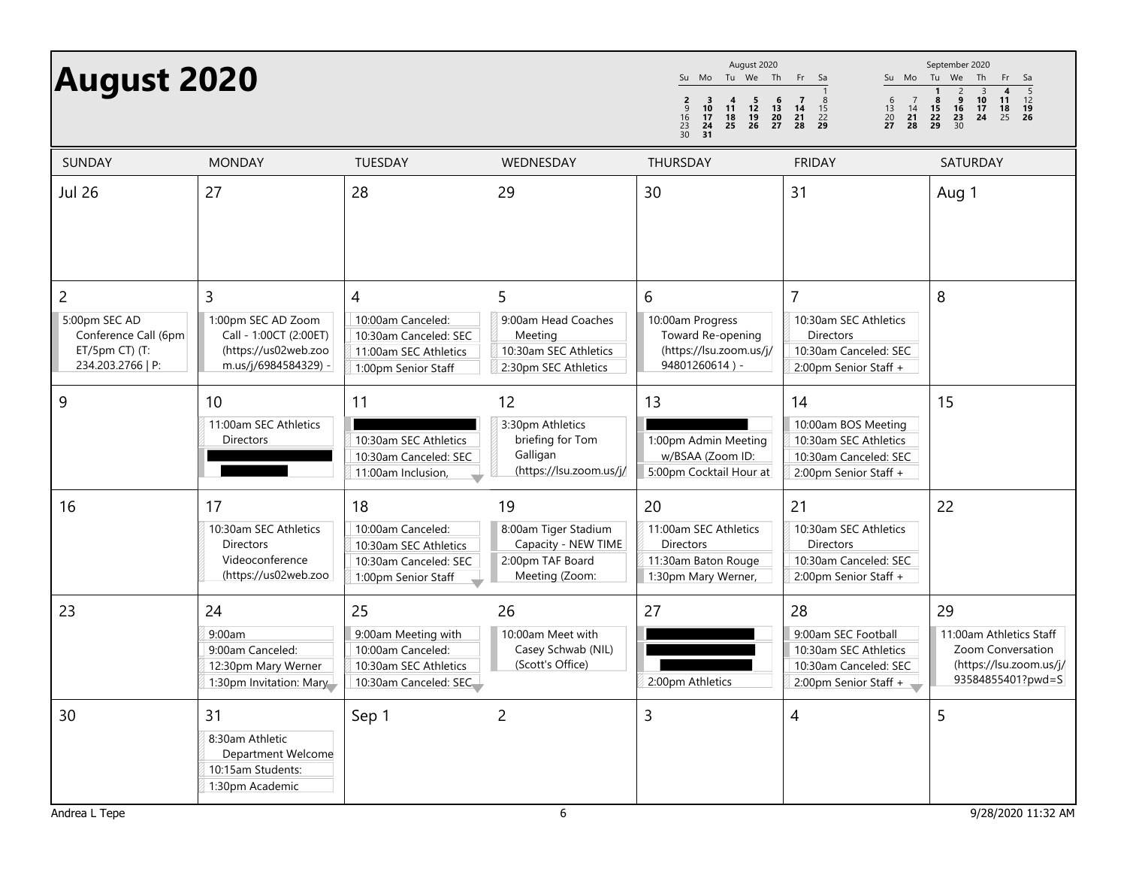## **August 2020**

Jul 26

2

9

16

23

30

| <b>August 2020</b>                                                                |                                                                                                   |                                                                                                              |                                                                                         | August 2020<br>Tu We Th<br>Su Mo<br>$\overline{\mathbf{3}}$<br>4 5 6<br>11 12 13<br>18 19 20<br>25 26 27<br>$\frac{2}{9}$<br>10<br>$\begin{array}{ccc} 16 & 17 \\ 23 & 24 \\ 30 & 31 \end{array}$ | Fr.<br>Sa<br>$\frac{6}{13}$<br>$\frac{20}{27}$<br>$\overline{7}$<br>$\begin{array}{c} 14 \\ 21 \\ 28 \end{array}$<br>14<br>15<br>$\frac{21}{28}$ $\frac{22}{29}$ | September 2020<br>Su Mo Tu We Th<br>Fr<br>Sa<br>$\frac{5}{12}$<br>12<br>19<br>26<br>$\frac{10}{17}$<br>24<br>$\frac{16}{23}$<br>23<br>30<br>8<br>$\begin{array}{c} \n \textbf{11} \\  \textbf{18} \\  \textbf{25}\n \end{array}$<br>15<br>$\frac{22}{29}$ |
|-----------------------------------------------------------------------------------|---------------------------------------------------------------------------------------------------|--------------------------------------------------------------------------------------------------------------|-----------------------------------------------------------------------------------------|---------------------------------------------------------------------------------------------------------------------------------------------------------------------------------------------------|------------------------------------------------------------------------------------------------------------------------------------------------------------------|-----------------------------------------------------------------------------------------------------------------------------------------------------------------------------------------------------------------------------------------------------------|
| <b>SUNDAY</b>                                                                     | <b>MONDAY</b>                                                                                     | TUESDAY                                                                                                      | WEDNESDAY                                                                               | THURSDAY                                                                                                                                                                                          | <b>FRIDAY</b>                                                                                                                                                    | SATURDAY                                                                                                                                                                                                                                                  |
| Jul 26                                                                            | 27                                                                                                | 28                                                                                                           | 29                                                                                      | 30                                                                                                                                                                                                | 31                                                                                                                                                               | Aug 1                                                                                                                                                                                                                                                     |
| 2<br>5:00pm SEC AD<br>Conference Call (6pm<br>ET/5pm CT) (T:<br>234.203.2766   P: | 3<br>1:00pm SEC AD Zoom<br>Call - 1:00CT (2:00ET)<br>(https://us02web.zoo<br>m.us/j/6984584329) - | $\overline{4}$<br>10:00am Canceled:<br>10:30am Canceled: SEC<br>11:00am SEC Athletics<br>1:00pm Senior Staff | 5<br>9:00am Head Coaches<br>Meeting<br>10:30am SEC Athletics<br>2:30pm SEC Athletics    | 6<br>10:00am Progress<br>Toward Re-opening<br>(https://lsu.zoom.us/j/<br>94801260614) -                                                                                                           | $\overline{7}$<br>10:30am SEC Athletics<br><b>Directors</b><br>10:30am Canceled: SEC<br>2:00pm Senior Staff +                                                    | 8                                                                                                                                                                                                                                                         |
| 9                                                                                 | 10<br>11:00am SEC Athletics<br><b>Directors</b>                                                   | 11<br>10:30am SEC Athletics<br>10:30am Canceled: SEC<br>11:00am Inclusion,                                   | 12<br>3:30pm Athletics<br>briefing for Tom<br>Galligan<br>(https://lsu.zoom.us/j/       | 13<br>1:00pm Admin Meeting<br>w/BSAA (Zoom ID:<br>5:00pm Cocktail Hour at                                                                                                                         | 14<br>10:00am BOS Meeting<br>10:30am SEC Athletics<br>10:30am Canceled: SEC<br>2:00pm Senior Staff +                                                             | 15                                                                                                                                                                                                                                                        |
| 16                                                                                | 17<br>10:30am SEC Athletics<br><b>Directors</b><br>Videoconference<br>(https://us02web.zoo        | 18<br>10:00am Canceled:<br>10:30am SEC Athletics<br>10:30am Canceled: SEC<br>1:00pm Senior Staff             | 19<br>8:00am Tiger Stadium<br>Capacity - NEW TIME<br>2:00pm TAF Board<br>Meeting (Zoom: | 20<br>11:00am SEC Athletics<br>Directors<br>11:30am Baton Rouge<br>1:30pm Mary Werner,                                                                                                            | 21<br>10:30am SEC Athletics<br><b>Directors</b><br>10:30am Canceled: SEC<br>2:00pm Senior Staff +                                                                | 22                                                                                                                                                                                                                                                        |
| 23                                                                                | 24<br>9:00am<br>9:00am Canceled:<br>12:30pm Mary Werner<br>1:30pm Invitation: Mary                | 25<br>9:00am Meeting with<br>10:00am Canceled:<br>10:30am SEC Athletics<br>10:30am Canceled: SEC             | 26<br>10:00am Meet with<br>Casey Schwab (NIL)<br>(Scott's Office)                       | 27<br>2:00pm Athletics                                                                                                                                                                            | 28<br>9:00am SEC Football<br>10:30am SEC Athletics<br>10:30am Canceled: SEC<br>2:00pm Senior Staff +                                                             | 29<br>11:00am Athletics Staff<br>Zoom Conversation<br>(https://lsu.zoom.us/j/<br>93584855401?pwd=S                                                                                                                                                        |
| 30                                                                                | 31                                                                                                | Sep 1                                                                                                        | $\overline{c}$                                                                          | 3                                                                                                                                                                                                 | 4                                                                                                                                                                | 5                                                                                                                                                                                                                                                         |

8:30am Athletic

 Department Welcome10:15am Students: 1:30pm Academic